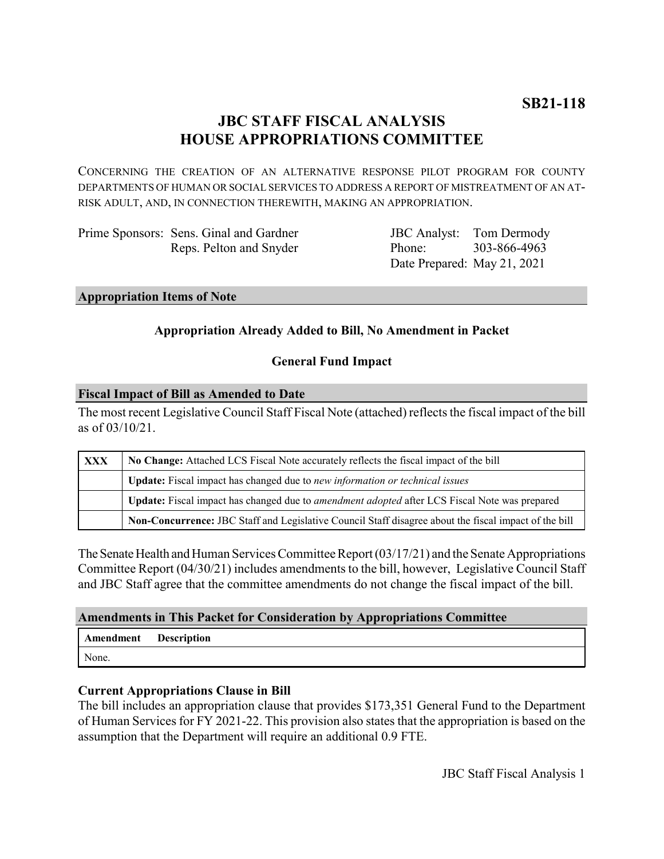# **JBC STAFF FISCAL ANALYSIS HOUSE APPROPRIATIONS COMMITTEE**

CONCERNING THE CREATION OF AN ALTERNATIVE RESPONSE PILOT PROGRAM FOR COUNTY DEPARTMENTS OF HUMAN OR SOCIAL SERVICES TO ADDRESS A REPORT OF MISTREATMENT OF AN AT-RISK ADULT, AND, IN CONNECTION THEREWITH, MAKING AN APPROPRIATION.

Prime Sponsors: Sens. Ginal and Gardner Reps. Pelton and Snyder

JBC Analyst: Phone: Date Prepared: May 21, 2021 Tom Dermody 303-866-4963

### **Appropriation Items of Note**

# **Appropriation Already Added to Bill, No Amendment in Packet**

# **General Fund Impact**

### **Fiscal Impact of Bill as Amended to Date**

The most recent Legislative Council Staff Fiscal Note (attached) reflects the fiscal impact of the bill as of 03/10/21.

| <b>XXX</b> | No Change: Attached LCS Fiscal Note accurately reflects the fiscal impact of the bill                 |
|------------|-------------------------------------------------------------------------------------------------------|
|            | Update: Fiscal impact has changed due to new information or technical issues                          |
|            | Update: Fiscal impact has changed due to <i>amendment adopted</i> after LCS Fiscal Note was prepared  |
|            | Non-Concurrence: JBC Staff and Legislative Council Staff disagree about the fiscal impact of the bill |

The Senate Health and Human Services Committee Report (03/17/21) and the Senate Appropriations Committee Report (04/30/21) includes amendments to the bill, however, Legislative Council Staff and JBC Staff agree that the committee amendments do not change the fiscal impact of the bill.

# **Amendments in This Packet for Consideration by Appropriations Committee**

| Amendment | <b>Description</b> |
|-----------|--------------------|
| None.     |                    |

# **Current Appropriations Clause in Bill**

The bill includes an appropriation clause that provides \$173,351 General Fund to the Department of Human Services for FY 2021-22. This provision also states that the appropriation is based on the assumption that the Department will require an additional 0.9 FTE.